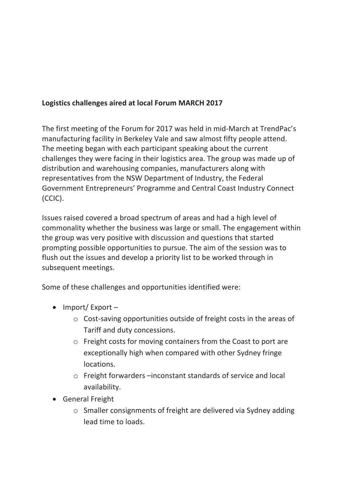## **Logistics challenges aired at local Forum MARCH 2017**

The first meeting of the Forum for 2017 was held in mid-March at TrendPac's manufacturing facility in Berkeley Vale and saw almost fifty people attend. The meeting began with each participant speaking about the current challenges they were facing in their logistics area. The group was made up of distribution and warehousing companies, manufacturers along with representatives from the NSW Department of Industry, the Federal Government Entrepreneurs' Programme and Central Coast Industry Connect (CCIC). 

Issues raised covered a broad spectrum of areas and had a high level of commonality whether the business was large or small. The engagement within the group was very positive with discussion and questions that started prompting possible opportunities to pursue. The aim of the session was to flush out the issues and develop a priority list to be worked through in subsequent meetings.

Some of these challenges and opportunities identified were:

- Import/ Export
	- $\circ$  Cost-saving opportunities outside of freight costs in the areas of Tariff and duty concessions.
	- $\circ$  Freight costs for moving containers from the Coast to port are exceptionally high when compared with other Sydney fringe locations.
	- $\circ$  Freight forwarders  $-$ inconstant standards of service and local availability.
- General Freight
	- $\circ$  Smaller consignments of freight are delivered via Sydney adding lead time to loads.